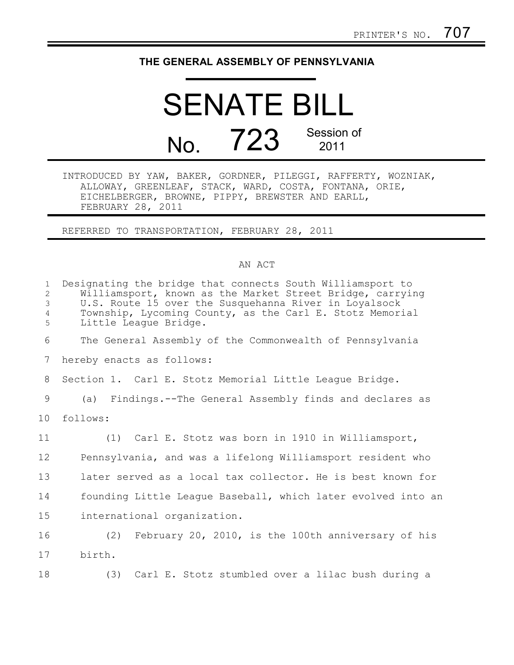## **THE GENERAL ASSEMBLY OF PENNSYLVANIA**

## SENATE BILL No. 723 Session of 2011

INTRODUCED BY YAW, BAKER, GORDNER, PILEGGI, RAFFERTY, WOZNIAK, ALLOWAY, GREENLEAF, STACK, WARD, COSTA, FONTANA, ORIE, EICHELBERGER, BROWNE, PIPPY, BREWSTER AND EARLL, FEBRUARY 28, 2011

REFERRED TO TRANSPORTATION, FEBRUARY 28, 2011

## AN ACT

| $\mathbf{1}$<br>$\overline{2}$<br>3<br>$\overline{4}$<br>5 | Designating the bridge that connects South Williamsport to<br>Williamsport, known as the Market Street Bridge, carrying<br>U.S. Route 15 over the Susquehanna River in Loyalsock<br>Township, Lycoming County, as the Carl E. Stotz Memorial<br>Little League Bridge. |
|------------------------------------------------------------|-----------------------------------------------------------------------------------------------------------------------------------------------------------------------------------------------------------------------------------------------------------------------|
| 6                                                          | The General Assembly of the Commonwealth of Pennsylvania                                                                                                                                                                                                              |
| 7                                                          | hereby enacts as follows:                                                                                                                                                                                                                                             |
| 8                                                          | Section 1. Carl E. Stotz Memorial Little League Bridge.                                                                                                                                                                                                               |
| 9                                                          | (a) Findings.--The General Assembly finds and declares as                                                                                                                                                                                                             |
| 10                                                         | follows:                                                                                                                                                                                                                                                              |
| 11                                                         | (1) Carl E. Stotz was born in 1910 in Williamsport,                                                                                                                                                                                                                   |
| 12                                                         | Pennsylvania, and was a lifelong Williamsport resident who                                                                                                                                                                                                            |
| 13                                                         | later served as a local tax collector. He is best known for                                                                                                                                                                                                           |
| 14                                                         | founding Little League Baseball, which later evolved into an                                                                                                                                                                                                          |
| 15                                                         | international organization.                                                                                                                                                                                                                                           |
| 16                                                         | (2) February 20, 2010, is the 100th anniversary of his                                                                                                                                                                                                                |
| 17                                                         | birth.                                                                                                                                                                                                                                                                |
| 18                                                         | Carl E. Stotz stumbled over a lilac bush during a<br>(3)                                                                                                                                                                                                              |